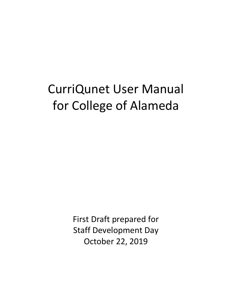# CurriQunet User Manual for College of Alameda

First Draft prepared for Staff Development Day October 22, 2019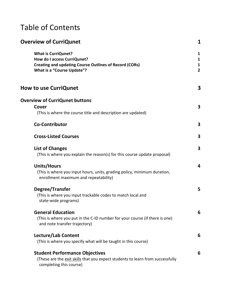# Table of Contents

| <b>Overview of CurriQunet</b>                                                                                                                            | 1                                                   |
|----------------------------------------------------------------------------------------------------------------------------------------------------------|-----------------------------------------------------|
| <b>What is CurriQunet?</b><br>How do I access CurriQunet?<br><b>Creating and updating Course Outlines of Record (CORs)</b><br>What is a "Course Update"? | 1<br>$\mathbf{1}$<br>$\mathbf{1}$<br>$\overline{2}$ |
| <b>How to use CurriQunet</b>                                                                                                                             | 3                                                   |
| <b>Overview of CurriQunet buttons</b><br>Cover<br>(This is where the course title and description are updated)                                           | $\overline{\mathbf{3}}$                             |
| <b>Co-Contributor</b>                                                                                                                                    | $\overline{\mathbf{3}}$                             |
| <b>Cross-Listed Courses</b>                                                                                                                              | $\overline{\mathbf{3}}$                             |
| <b>List of Changes</b><br>(This is where you explain the reason(s) for this course update proposal)                                                      | $\overline{\mathbf{3}}$                             |
| <b>Units/Hours</b><br>(This is where you input hours, units, grading policy, minimum duration,<br>enrollment maximum and repeatability)                  | $\overline{\mathbf{4}}$                             |
| Degree/Transfer<br>(This is where you input trackable codes to match local and<br>state-wide programs)                                                   | 5                                                   |
| <b>General Education</b><br>(This is where you put in the C-ID number for your course (if there is one)<br>and note transfer trajectory)                 | 6                                                   |
| Lecture/Lab Content<br>(This is where you specify what will be taught in this course)                                                                    | 6                                                   |
| <b>Student Performance Objectives</b><br>(These are the exit skills that you expect students to learn from successfully<br>completing this course)       | 6                                                   |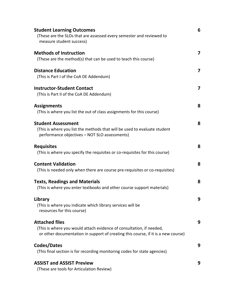| <b>Student Learning Outcomes</b><br>(These are the SLOs that are assessed every semester and reviewed to<br>measure student success)                                               | 6 |
|------------------------------------------------------------------------------------------------------------------------------------------------------------------------------------|---|
| <b>Methods of Instruction</b><br>(These are the method(s) that can be used to teach this course)                                                                                   | 7 |
| <b>Distance Education</b><br>(This is Part I of the CoA DE Addendum)                                                                                                               | 7 |
| <b>Instructor-Student Contact</b><br>(This is Part II of the CoA DE Addendum)                                                                                                      | 7 |
| <b>Assignments</b><br>(This is where you list the out of class assignments for this course)                                                                                        | 8 |
| <b>Student Assessment</b><br>(This is where you list the methods that will be used to evaluate student<br>performance objectives - NOT SLO assessments)                            | 8 |
| <b>Requisites</b><br>(This is where you specify the requisites or co-requisites for this course)                                                                                   | 8 |
| <b>Content Validation</b><br>(This is needed only when there are course pre-requisites or co-requisites)                                                                           | 8 |
| <b>Texts, Readings and Materials</b><br>(This is where you enter textbooks and other course support materials)                                                                     | 8 |
| Library<br>(This is where you indicate which library services will be<br>resources for this course)                                                                                | 9 |
| <b>Attached files</b><br>(This is where you would attach evidence of consultation, if needed,<br>or other documentation in support of creating this course, if it is a new course) | 9 |
| Codes/Dates<br>(This final section is for recording monitoring codes for state agencies)                                                                                           | 9 |
| <b>ASSIST and ASSIST Preview</b><br>(These are tools for Articulation Review)                                                                                                      | 9 |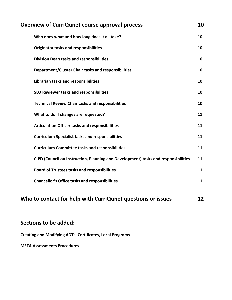| <b>Overview of CurriQunet course approval process</b>                              |    |
|------------------------------------------------------------------------------------|----|
| Who does what and how long does it all take?                                       | 10 |
| <b>Originator tasks and responsibilities</b>                                       | 10 |
| <b>Division Dean tasks and responsibilities</b>                                    | 10 |
| Department/Cluster Chair tasks and responsibilities                                | 10 |
| Librarian tasks and responsibilities                                               | 10 |
| <b>SLO Reviewer tasks and responsibilities</b>                                     | 10 |
| <b>Technical Review Chair tasks and responsibilities</b>                           | 10 |
| What to do if changes are requested?                                               | 11 |
| <b>Articulation Officer tasks and responsibilities</b>                             | 11 |
| <b>Curriculum Specialist tasks and responsibilities</b>                            | 11 |
| <b>Curriculum Committee tasks and responsibilities</b>                             | 11 |
| CIPD (Council on Instruction, Planning and Development) tasks and responsibilities | 11 |
| <b>Board of Trustees tasks and responsibilities</b>                                | 11 |
| <b>Chancellor's Office tasks and responsibilities</b>                              | 11 |
| Who to contact for help with CurriQunet questions or issues                        | 12 |

# **Sections to be added:**

**Creating and Modifying ADTs, Certificates, Local Programs**

**META Assessments Procedures**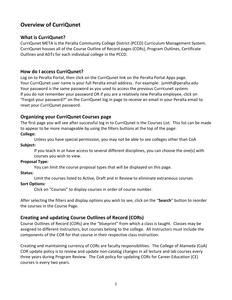# **Overview of CurriQunet**

# **What is CurriQunet?**

CurriQunet META is the Peralta Community College District (PCCD) Curriculum Management System. CurriQunet houses all of the Course Outline of Record pages (CORs), Program Outlines, Certificate Outlines and ADTs for each individual college in the PCCD.

# **How do I access CurriQunet?**

Log on to Peralta Portal, then click on the CurriQunet link on the Peralta Portal Apps page. Your CurriQunet user name is your full Peralta email address. For example: jsmith@peralta.edu Your password is the same password as you used to access the previous Curricunet system. If you do not remember your password OR if you are a relatively new Peralta employee, click on "Forgot your password?" on the CurriQunet log in page to receive an email in your Peralta email to reset your CurriQunet password.

# **Organizing your CurriQunet Courses page**

The first page you will see after successful log in to CurriQunet is the Courses List. This list can be made to appear to be more manageable by using the filters buttons at the top of the page: **College:** 

Unless you have special permission, you may not be able to see colleges other than CoA **Subject:** 

If you teach in or have access to several different disciplines, you can choose the one(s) with courses you wish to view.

# **Proposal Type:**

You can limit the course proposal types that will be displayed on this page.

# **Status:**

Limit the courses listed to Active, Draft and In Review to eliminate extraneous courses **Sort Options:**

Click on "Courses" to display courses in order of course number.

After selecting the filters and display options you wish to see, click on the "**Search**" button to reorder the courses in the Course Page.

# **Creating and updating Course Outlines of Record (CORs)**

Course Outlines of Record (CORs) are the "blueprint" from which a class is taught. Classes may be assigned to different instructors, but courses belong to the college. All instructors must include the components of the COR for that course in their respective class instruction.

Creating and maintaining currency of CORs are faculty responsibilities. The College of Alameda (CoA) COR update policy is to review and update non-catalog changes in all lecture and lab courses every three years during Program Review. The CoA policy for updating CORs for Career Education (CE) courses is every two years.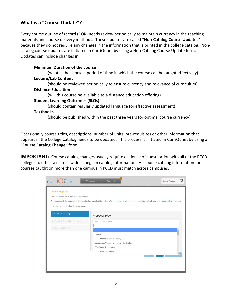# **What is a "Course Update"?**

Every course outline of record (COR) needs review periodically to maintain currency in the teaching materials and course delivery methods. These updates are called "**Non-Catalog Course Updates**" because they do not require any changes in the information that is printed in the college catalog. Noncatalog course updates are initiated in CurriQunet by using a Non-Catalog Course Update form. Updates can include changes in:

## **Minimum Duration of the course**

(what is the shortest period of time in which the course can be taught effectively) **Lecture/Lab Content**

(should be reviewed periodically to ensure currency and relevance of curriculum) **Distance Education** 

(will this course be available as a distance education offering)

#### **Student Learning Outcomes (SLOs)**

(should contain regularly updated language for effective assessment) **Textbooks** 

(should be published within the past three years for optimal course currency)

Occasionally course titles, descriptions, number of units, pre-requisites or other information that appears in the College Catalog needs to be updated. This process is initiated in CurriQunet by using a "**Course Catalog Change**" form.

**IMPORTANT:** Course catalog changes usually require evidence of consultation with all of the PCCD colleges to effect a district-wide change in catalog information. All course catalog information for courses taught on more than one campus in PCCD must match across campuses.

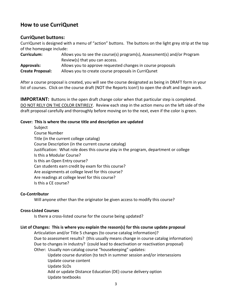# **How to use CurriQunet**

# **CurriQunet buttons:**

CurriQunet is designed with a menu of "action" buttons. The buttons on the light grey strip at the top of the homepage include:

| <b>Curriculum:</b>      | Allows you to see the course(s) program(s), Assessment(s) and/or Program |  |  |
|-------------------------|--------------------------------------------------------------------------|--|--|
|                         | Review(s) that you can access.                                           |  |  |
| <b>Approvals:</b>       | Allows you to approve requested changes in course proposals              |  |  |
| <b>Create Proposal:</b> | Allows you to create course proposals in CurriQunet                      |  |  |

After a course proposal is created, you will see the course designated as being in DRAFT form in your list of courses. Click on the course draft (NOT the Reports Icon!) to open the draft and begin work.

**IMPORTANT:** Buttons in the open draft change color when that particular step is completed. DO NOT RELY ON THE COLOR ENTIRELY. Review each step in the action menu on the left side of the draft proposal carefully and thoroughly before moving on to the next, even if the color is green.

# **Cover: This is where the course title and description are updated**

Subject Course Number Title (in the current college catalog) Course Description (in the current course catalog) Justification: What role does this course play in the program, department or college Is this a Modular Course? Is this an Open Entry course? Can students earn credit by exam for this course? Are assignments at college level for this course? Are readings at college level for this course? Is this a CE course?

# **Co-Contributor**

Will anyone other than the originator be given access to modify this course?

# **Cross-Listed Courses**

Is there a cross-listed course for the course being updated?

# **List of Changes: This is where you explain the reason(s) for this course update proposal**

Articulation and/or Title 5 changes (to course catalog information)? Due to assessment results? (this usually means change in course catalog information) Due to changes in industry? (could lead to deactivation or reactivation proposal) Other: Usually non-catalog course "housekeeping" updates:

Update course duration (to tech in summer session and/or intersessions Update course content Update SLOs Add or update Distance Education (DE) course delivery option Update textbooks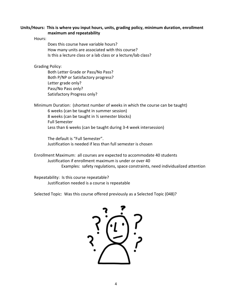#### **Units/Hours: This is where you input hours, units, grading policy, minimum duration, enrollment maximum and repeatability**

Hours:

Does this course have variable hours? How many units are associated with this course? Is this a lecture class or a lab class or a lecture/lab class?

Grading Policy:

Both Letter Grade or Pass/No Pass? Both P/NP or Satisfactory progress? Letter grade only? Pass/No Pass only? Satisfactory Progress only?

Minimum Duration: (shortest number of weeks in which the course can be taught) 6 weeks (can be taught in summer session) 8 weeks (can be taught in ½ semester blocks) Full Semester Less than 6 weeks (can be taught during 3-4 week intersession)

The default is "Full Semester". Justification is needed if less than full semester is chosen

Enrollment Maximum: all courses are expected to accommodate 40 students Justification if enrollment maximum is under or over 40 Examples: safety regulations, space constraints, need individualized attention

Repeatability: Is this course repeatable? Justification needed is a course is repeatable

Selected Topic: Was this course offered previously as a Selected Topic (048)?

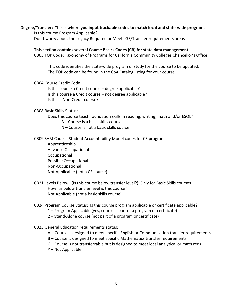#### **Degree/Transfer: This is where you input trackable codes to match local and state-wide programs**

Is this course Program Applicable? Don't worry about the Legacy Required or Meets GE/Transfer requirements areas

#### **This section contains several Course Basics Codes (CB) for state data management.**

CB03 TOP Code: Taxonomy of Programs for California Community Colleges Chancellor's Office

This code identifies the state-wide program of study for the course to be updated. The TOP code can be found in the CoA Catalog listing for your course.

#### CB04 Course Credit Code:

Is this course a Credit course – degree applicable? Is this course a Credit course – not degree applicable? Is this a Non-Credit course?

#### CB08 Basic Skills Status:

Does this course teach foundation skills in reading, writing, math and/or ESOL?

- B Course is a basic skills course
- N Course is not a basic skills course

CB09 SAM Codes: Student Accountability Model codes for CE programs

Apprenticeship Advance Occupational Occupational Possible Occupational Non-Occupational Not Applicable (not a CE course)

CB21 Levels Below: (Is this course below transfer level?) Only for Basic Skills courses How far below transfer level is this course? Not Applicable (not a basic skills course)

#### CB24 Program Course Status: Is this course program applicable or certificate applicable?

- 1 Program Applicable (yes, course is part of a program or certificate)
- 2 Stand-Alone course (not part of a program or certificate)

#### CB25 General Education requirements status:

- A Course is designed to meet specific English or Communication transfer requirements
- B Course is designed to meet specific Mathematics transfer requirements
- C Course is not transferrable but is designed to meet local analytical or math reqs
- Y Not Applicable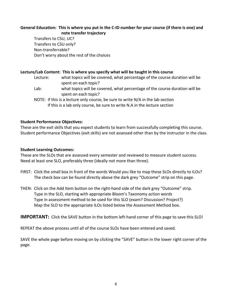# **General Education: This is where you put in the C-ID number for your course (if there is one) and note transfer trajectory**

Transfers to CSU, UC? Transfers to CSU only? Non-transferrable? Don't worry about the rest of the choices

# **Lecture/Lab Content: This is where you specify what will be taught in this course**

- Lecture: what topics will be covered, what percentage of the course duration will be spent on each topic?
- Lab: what topics will be covered, what percentage of the course duration will be spent on each topic?
- NOTE: If this is a lecture only course, be sure to write N/A in the lab section If this is a lab only course, be sure to write N.A in the lecture section

# **Student Performance Objectives:**

These are the exit skills that you expect students to learn from successfully completing this course. Student performance Objectives (exit skills) are not assessed other than by the instructor in the class.

## **Student Learning Outcomes:**

These are the SLOs that are assessed every semester and reviewed to measure student success. Need at least one SLO, preferably three (ideally not more than three).

- FIRST: Click the small box in front of the words Would you like to map these SLOs directly to ILOs? The check box can be found directly above the dark grey "Outcome" strip on this page.
- THEN: Click on the Add Item button on the right-hand side of the dark grey "Outcome" strip. Type in the SLO, starting with appropriate Bloom's Taxonomy action words Type in assessment method to be used for this SLO (exam? Discussion? Project?) Map the SLO to the appropriate ILOs listed below the Assessment Method box.

**IMPORTANT:** Click the SAVE button in the bottom left-hand corner of this page to save this SLO!

REPEAT the above process until all of the course SLOs have been entered and saved.

SAVE the whole page before moving on by clicking the "SAVE" button in the lower right corner of the page.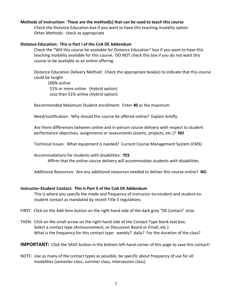#### **Methods of Instruction: These are the method(s) that can be used to teach this course**

Check the Distance Education box if you want to have this teaching modality option Other Methods: check as appropriate

#### **Distance Education: This is Part I of the CoA DE Addendum**

Check the "Will this course be available for Distance Education" box if you want to have this teaching modality available for this course. DO NOT check this box if you do not want this course to be available as an online offering.

Distance Education Delivery Method: Check the appropriate box(es) to indicate that this course could be taught

100% online 51% or more online (Hybrid option) Less than 51% online (Hybrid option)

Recommended Maximum Student enrollment: Enter **40** as the maximum

Need/Justification: Why should this course be offered online? Explain briefly.

Are there differences between online and in-person course delivery with respect to student performance objectives, assignments or assessments (exams, projects, etc.)? **NO**

Technical Issues: What equipment is needed? Current Course Management System (CMS)

Accommodations for students with disabilities: **YES**

Affirm that the online course delivery will accommodate students with disabilities.

Additional Resources: Are any additional resources needed to deliver this course online? **NO**

#### **Instructor-Student Contact: This is Part II of the CoA DE Addendum**

This is where you specify the mode and frequency of instructor-to=student and student-tostudent contact as mandated by recent Title 5 regulations

FIRST: Click on the Add Item button on the right-hand side of the dark grey "DE Contact" strip.

THEN: Click on the small arrow on the right-hand side of the Contact Type blank text box. Select a contact type (Announcement, or Discussion Board or Email, etc.) What is the frequency for this contact type: weekly? daily? For the duration of the class?

**IMPORTANT:** Click the SAVE button in the bottom left-hand corner of this page to save this contact!

NOTE: Use as many of the contact types as possible, be specific about frequency of use for all modalities (semester class, summer class, intersession class).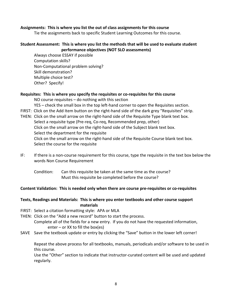#### **Assignments: This is where you list the out of class assignments for this course**

Tie the assignments back to specific Student Learning Outcomes for this course.

#### **Student Assessment: This is where you list the methods that will be used to evaluate student performance objectives (NOT SLO assessments)**

Always choose ESSAY if possible Computation skills? Non-Computational problem solving? Skill demonstration? Multiple choice test? Other? Specify!

# **Requisites: This is where you specify the requisites or co-requisites for this course**  NO course requisites – do nothing with this section YES – check the small box in the top left-hand corner to open the Requisites section. FIRST: Click on the Add Item button on the right-hand side of the dark grey "Requisites" strip. THEN: Click on the small arrow on the right-hand side of the Requisite Type blank text box.

Select a requisite type (Pre-req, Co-req, Recommended prep, other) Click on the small arrow on the right-hand side of the Subject blank text box. Select the department for the requisite Click on the small arrow on the right-hand side of the Requisite Course blank text box. Select the course for the requisite

- IF: If there is a non-course requirement for this course, type the requisite in the text box below the words Non Course Requirement
	- Condition: Can this requisite be taken at the same time as the course? Must this requisite be completed before the course?

#### **Content Validation: This is needed only when there are course pre-requisites or co-requisites**

#### **Texts, Readings and Materials: This is where you enter textbooks and other course support materials**

- FIRST: Select a citation formatting style: APA or MLA
- THEN: Click on the "Add a new record" button to start the process. Complete all of the fields for a new entry. If you do not have the requested information, enter – or XX to fill the box(es)
- SAVE Save the textbook update or entry by clicking the "Save" button in the lower left corner!

Repeat the above process for all textbooks, manuals, periodicals and/or software to be used in this course.

Use the "Other" section to indicate that instructor-curated content will be used and updated regularly.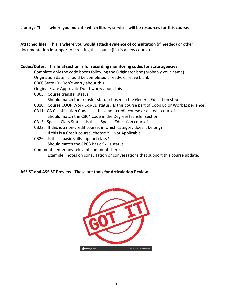**Library: This is where you indicate which library services will be resources for this course.**

**Attached files: This is where you would attach evidence of consultation** (if needed) or other documentation in support of creating this course (if it is a new course)

# **Codes/Dates: This final section is for recording monitoring codes for state agencies** Complete only the code boxes following the Originator box (probably your name) Origination date: should be completed already, or leave blank CB00 State ID: Don't worry about this Original State Approval: Don't worry about this CB05: Course transfer status: Should match the transfer status chosen in the General Education step CB10: Course COOP Work Exp-ED status: Is this course part of Coop Ed or Work Experience? CB11: CA Classification Codes: Is this a non-credit course or a credit course? Should match the CB04 code in the Degree/Transfer section CB13: Special Class Status: Is this a Special Education course? CB22: If this is a non-credit course, in which category does it belong? If this is a Credit course, choose Y – Not Applicable

CB26: Is this a basic skills support class? Should match the CB08 Basic Skills status

# Comment: enter any relevant comments here.

Example: notes on consultation or conversations that support this course update.

# **ASSIST and ASSIST Preview: These are tools for Articulation Review**

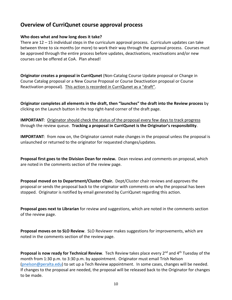# **Overview of CurriQunet course approval process**

## **Who does what and how long does it take?**

There are 12 – 15 individual steps in the curriculum approval process. Curriculum updates can take between three to six months (or more) to work their way through the approval process. Courses must be approved through the entire process before updates, deactivations, reactivations and/or new courses can be offered at CoA. Plan ahead!

**Originator creates a proposal in CurriQunet** (Non-Catalog Course Update proposal or Change in Course Catalog proposal or a New Course Proposal or Course Deactivation proposal or Course Reactivation proposal). This action is recorded in CurriQunet as a "draft".

**Originator completes all elements in the draft, then "launches" the draft into the Review process** by clicking on the Launch button in the top right-hand corner of the draft page.

**IMPORTANT**: Originator should check the status of the proposal every few days to track progress through the review queue. **Tracking a proposal in CurriQunet is the Originator's responsibility**.

**IMPORTANT**: from now on, the Originator cannot make changes in the proposal unless the proposal is unlaunched or returned to the originator for requested changes/updates.

**Proposal first goes to the Division Dean for review.** Dean reviews and comments on proposal, which are noted in the comments section of the review page.

**Proposal moved on to Department/Cluster Chair.** Dept/Cluster chair reviews and approves the proposal or sends the proposal back to the originator with comments on why the proposal has been stopped. Originator is notified by email generated by CurriQunet regarding this action.

**Proposal goes next to Librarian** for review and suggestions, which are noted in the comments section of the review page.

**Proposal moves on to SLO Review**. SLO Reviewer makes suggestions for improvements, which are noted in the comments section of the review page.

Proposal is now ready for Technical Review. Tech Review takes place every 2<sup>nd</sup> and 4<sup>th</sup> Tuesday of the month from 1:30 p.m. to 3:30 p.m. by appointment. Originator must email Trish Nelson [\(pnelson@peralta.edu\)](mailto:pnelson@peralta.edu) to set up a Tech Review appointment. In some cases, changes will be needed. If changes to the proposal are needed, the proposal will be released back to the Originator for changes to be made.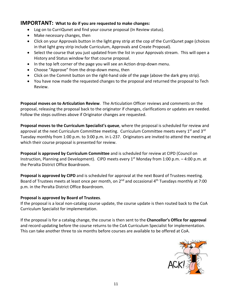# **IMPORTANT: What to do if you are requested to make changes:**

- Log on to CurriQunet and find your course proposal (In Review status).
- Make necessary changes, then
- Click on your Approvals button in the light grey strip at the cop of the CurriQunet page (choices in that light grey strip include Curriculum, Approvals and Create Proposal).
- Select the course that you just updated from the list in your Approvals stream. This will open a History and Status window for that course proposal.
- In the top left corner of the page you will see an Action drop-down menu.
- Choose "Approve" from the drop-down menu, then
- Click on the Commit button on the right-hand side of the page (above the dark grey strip).
- You have now made the requested changes to the proposal and returned the proposal to Tech Review.

**Proposal moves on to Articulation Review**. The Articulation Officer reviews and comments on the proposal, releasing the proposal back to the originator if changes, clarifications or updates are needed. Follow the steps outlines above if Originator changes are requested.

**Proposal moves to the Curriculum Specialist's queue**, where the proposal is scheduled for review and approval at the next Curriculum Committee meeting. Curriculum Committee meets every 1<sup>st</sup> and 3<sup>rd</sup> Tuesday monthly from 1:00 p.m. to 3:00 p.m. in L-237. Originators are invited to attend the meeting at which their course proposal is presented for review.

**Proposal is approved by Curriculum Committee** and is scheduled for review at CIPD (Council on Instruction, Planning and Development). CIPD meets every  $1^{st}$  Monday from 1:00 p.m. – 4:00 p.m. at the Peralta District Office Boardroom.

**Proposal is approved by CIPD** and is scheduled for approval at the next Board of Trustees meeting. Board of Trustees meets at least once per month, on 2<sup>nd</sup> and occasional 4<sup>th</sup> Tuesdays monthly at 7:00 p.m. in the Peralta District Office Boardroom.

# **Proposal is approved by Board of Trustees**.

If the proposal is a local non-catalog course update, the course update is then routed back to the CoA Curriculum Specialist for implementation.

If the proposal is for a catalog change, the course is then sent to the **Chancellor's Office for approval** and record updating before the course returns to the CoA Curriculum Specialist for implementation. This can take another three to six months before courses are available to be offered at CoA.